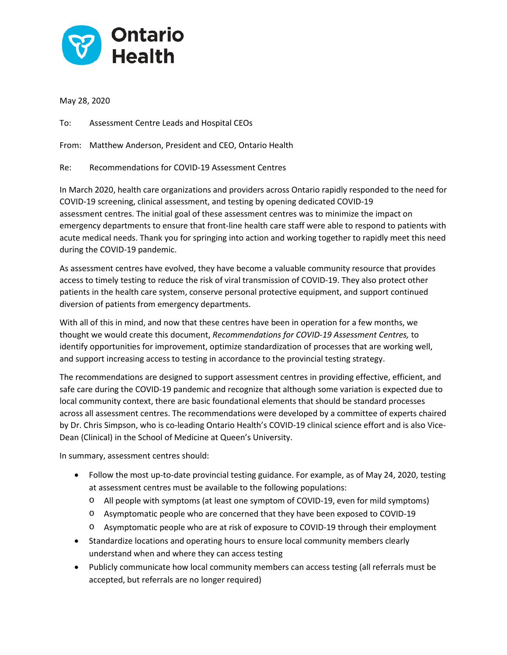

May 28, 2020

To: Assessment Centre Leads and Hospital CEOs

From: Matthew Anderson, President and CEO, Ontario Health

Re: Recommendations for COVID-19 Assessment Centres

In March 2020, health care organizations and providers across Ontario rapidly responded to the need for COVID-19 screening, clinical assessment, and testing by opening dedicated COVID-19 assessment centres. The initial goal of these assessment centres was to minimize the impact on emergency departments to ensure that front-line health care staff were able to respond to patients with acute medical needs. Thank you for springing into action and working together to rapidly meet this need during the COVID-19 pandemic.

As assessment centres have evolved, they have become a valuable community resource that provides access to timely testing to reduce the risk of viral transmission of COVID-19. They also protect other patients in the health care system, conserve personal protective equipment, and support continued diversion of patients from emergency departments.

With all of this in mind, and now that these centres have been in operation for a few months, we thought we would create this document, *Recommendations for COVID-19 Assessment Centres,* to identify opportunities for improvement, optimize standardization of processes that are working well, and support increasing access to testing in accordance to the provincial testing strategy.

The recommendations are designed to support assessment centres in providing effective, efficient, and safe care during the COVID-19 pandemic and recognize that although some variation is expected due to local community context, there are basic foundational elements that should be standard processes across all assessment centres. The recommendations were developed by a committee of experts chaired by Dr. Chris Simpson, who is co-leading Ontario Health's COVID-19 clinical science effort and is also Vice-Dean (Clinical) in the School of Medicine at Queen's University.

In summary, assessment centres should:

- Follow the most up-to-date provincial testing guidance. For example, as of May 24, 2020, testing at assessment centres must be available to the following populations:
	- o All people with symptoms (at least one symptom of COVID-19, even for mild symptoms)
	- o Asymptomatic people who are concerned that they have been exposed to COVID-19
	- o Asymptomatic people who are at risk of exposure to COVID-19 through their employment
- Standardize locations and operating hours to ensure local community members clearly understand when and where they can access testing
- Publicly communicate how local community members can access testing (all referrals must be accepted, but referrals are no longer required)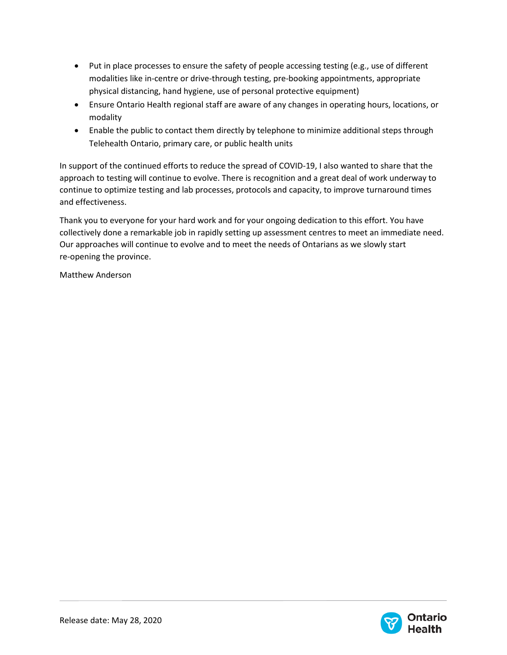- Put in place processes to ensure the safety of people accessing testing (e.g., use of different modalities like in-centre or drive-through testing, pre-booking appointments, appropriate physical distancing, hand hygiene, use of personal protective equipment)
- Ensure Ontario Health regional staff are aware of any changes in operating hours, locations, or modality
- Enable the public to contact them directly by telephone to minimize additional steps through Telehealth Ontario, primary care, or public health units

In support of the continued efforts to reduce the spread of COVID-19, I also wanted to share that the approach to testing will continue to evolve. There is recognition and a great deal of work underway to continue to optimize testing and lab processes, protocols and capacity, to improve turnaround times and effectiveness.

Thank you to everyone for your hard work and for your ongoing dedication to this effort. You have collectively done a remarkable job in rapidly setting up assessment centres to meet an immediate need. Our approaches will continue to evolve and to meet the needs of Ontarians as we slowly start re-opening the province.

Matthew Anderson

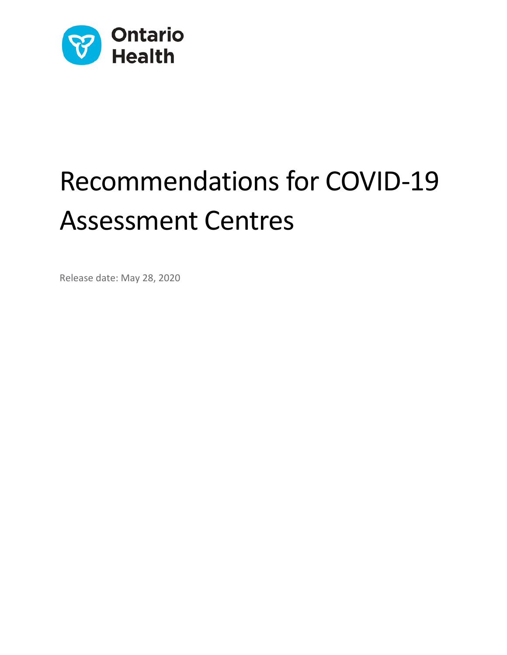

# Recommendations for COVID-19 Assessment Centres

Release date: May 28, 2020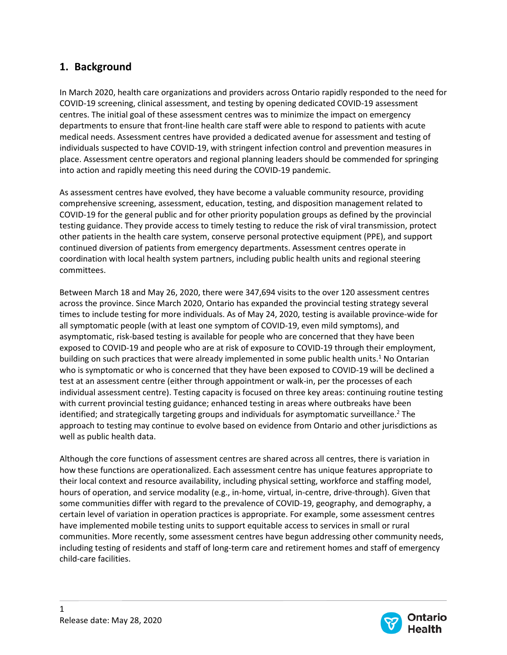# **1. Background**

In March 2020, health care organizations and providers across Ontario rapidly responded to the need for COVID-19 screening, clinical assessment, and testing by opening dedicated COVID-19 assessment centres. The initial goal of these assessment centres was to minimize the impact on emergency departments to ensure that front-line health care staff were able to respond to patients with acute medical needs. Assessment centres have provided a dedicated avenue for assessment and testing of individuals suspected to have COVID-19, with stringent infection control and prevention measures in place. Assessment centre operators and regional planning leaders should be commended for springing into action and rapidly meeting this need during the COVID-19 pandemic.

As assessment centres have evolved, they have become a valuable community resource, providing comprehensive screening, assessment, education, testing, and disposition management related to COVID-19 for the general public and for other priority population groups as defined by the provincial testing guidance. They provide access to timely testing to reduce the risk of viral transmission, protect other patients in the health care system, conserve personal protective equipment (PPE), and support continued diversion of patients from emergency departments. Assessment centres operate in coordination with local health system partners, including public health units and regional steering committees.

Between March 18 and May 26, 2020, there were 347,694 visits to the over 120 assessment centres across the province. Since March 2020, Ontario has expanded the provincial testing strategy several times to include testing for more individuals. As of May 24, 2020, testing is available province-wide for all symptomatic people (with at least one symptom of COVID-19, even mild symptoms), and asymptomatic, risk-based testing is available for people who are concerned that they have been exposed to COVID-19 and people who are at risk of exposure to COVID-19 through their employment, building on such practices that were already implemented in some public health units.<sup>1</sup> No Ontarian who is symptomatic or who is concerned that they have been exposed to COVID-19 will be declined a test at an assessment centre (either through appointment or walk-in, per the processes of each individual assessment centre). Testing capacity is focused on three key areas: continuing routine testing with current provincial testing guidance; enhanced testing in areas where outbreaks have been identified; and strategically targeting groups and individuals for asymptomatic surveillance.<sup>2</sup> The approach to testing may continue to evolve based on evidence from Ontario and other jurisdictions as well as public health data.

Although the core functions of assessment centres are shared across all centres, there is variation in how these functions are operationalized. Each assessment centre has unique features appropriate to their local context and resource availability, including physical setting, workforce and staffing model, hours of operation, and service modality (e.g., in-home, virtual, in-centre, drive-through). Given that some communities differ with regard to the prevalence of COVID-19, geography, and demography, a certain level of variation in operation practices is appropriate. For example, some assessment centres have implemented mobile testing units to support equitable access to services in small or rural communities. More recently, some assessment centres have begun addressing other community needs, including testing of residents and staff of long-term care and retirement homes and staff of emergency child-care facilities.

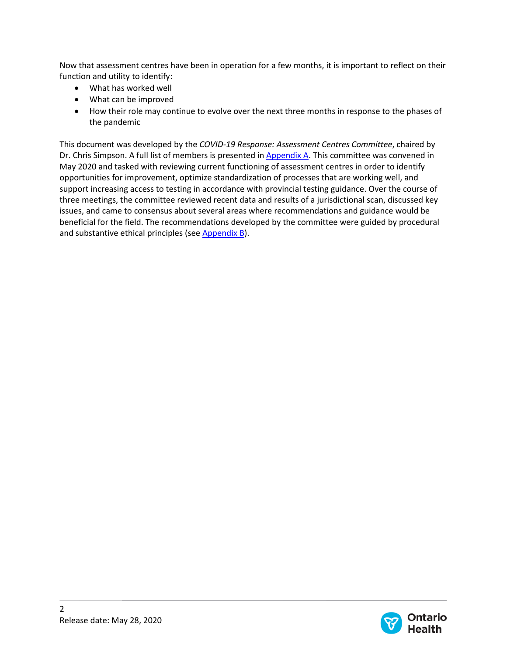Now that assessment centres have been in operation for a few months, it is important to reflect on their function and utility to identify:

- What has worked well
- What can be improved
- How their role may continue to evolve over the next three months in response to the phases of the pandemic

This document was developed by the *COVID-19 Response: Assessment Centres Committee*, chaired by Dr. Chris Simpson. A full list of members is presented in  $\Delta p$  A. This committee was convened in May 2020 and tasked with reviewing current functioning of assessment centres in order to identify opportunities for improvement, optimize standardization of processes that are working well, and support increasing access to testing in accordance with provincial testing guidance. Over the course of three meetings, the committee reviewed recent data and results of a jurisdictional scan, discussed key issues, and came to consensus about several areas where recommendations and guidance would be beneficial for the field. The recommendations developed by the committee were guided by procedural and substantive ethical principles (se[e Appendix B\)](#page-19-0).

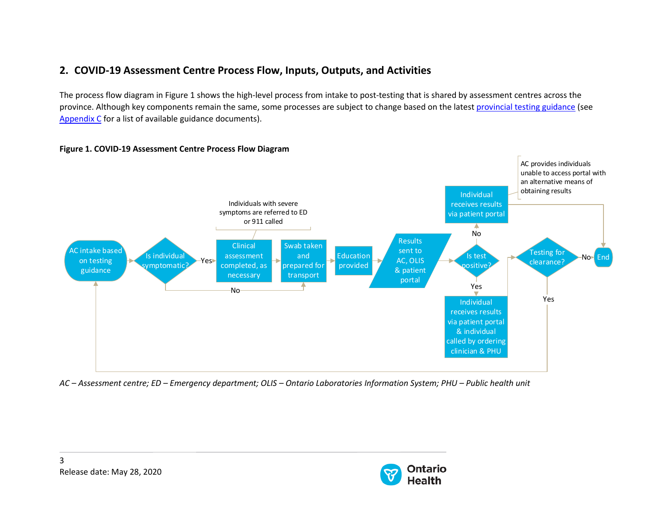# **2. COVID-19 Assessment Centre Process Flow, Inputs, Outputs, and Activities**

The process flow diagram in Figure 1 shows the high-level process from intake to post-testing that is shared by assessment centres across the province. Although key components remain the same, some processes are subject to change based on the latest [provincial testing guidance](http://www.health.gov.on.ca/en/pro/programs/publichealth/coronavirus/docs/2019_covid_testing_guidance.pdf) (see [Appendix C](#page-20-0) for a list of available guidance documents).



#### **Figure 1. COVID-19 Assessment Centre Process Flow Diagram**

*AC – Assessment centre; ED – Emergency department; OLIS – Ontario Laboratories Information System; PHU – Public health unit*

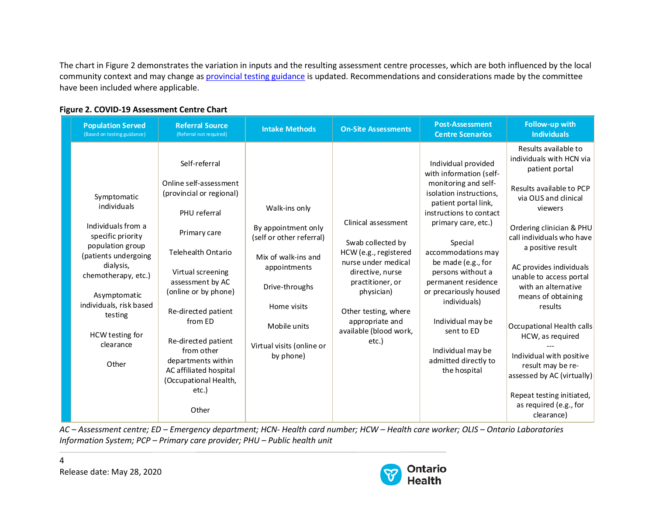The chart in Figure 2 demonstrates the variation in inputs and the resulting assessment centre processes, which are both influenced by the local community context and may change as [provincial testing guidance](http://www.health.gov.on.ca/en/pro/programs/publichealth/coronavirus/docs/2019_covid_testing_guidance.pdf) is updated. Recommendations and considerations made by the committee have been included where applicable.

| <b>Population Served</b><br>(Based on testing guidance)                                                                                                                                                                                              | <b>Referral Source</b><br>(Referral not required)                                                                                                                                                                                                                                                                                                                   | <b>Intake Methods</b>                                                                                                                                                                              | <b>On-Site Assessments</b>                                                                                                                                                                                                   | <b>Post-Assessment</b><br><b>Centre Scenarios</b>                                                                                                                                                                                                                                                                                                                                                                        | Follow-up with<br><b>Individuals</b>                                                                                                                                                                                                                                                                                                                                                                                                                                                                                                |
|------------------------------------------------------------------------------------------------------------------------------------------------------------------------------------------------------------------------------------------------------|---------------------------------------------------------------------------------------------------------------------------------------------------------------------------------------------------------------------------------------------------------------------------------------------------------------------------------------------------------------------|----------------------------------------------------------------------------------------------------------------------------------------------------------------------------------------------------|------------------------------------------------------------------------------------------------------------------------------------------------------------------------------------------------------------------------------|--------------------------------------------------------------------------------------------------------------------------------------------------------------------------------------------------------------------------------------------------------------------------------------------------------------------------------------------------------------------------------------------------------------------------|-------------------------------------------------------------------------------------------------------------------------------------------------------------------------------------------------------------------------------------------------------------------------------------------------------------------------------------------------------------------------------------------------------------------------------------------------------------------------------------------------------------------------------------|
| Symptomatic<br>individuals<br>Individuals from a<br>specific priority<br>population group<br>(patients undergoing<br>dialysis,<br>chemotherapy, etc.)<br>Asymptomatic<br>individuals, risk based<br>testing<br>HCW testing for<br>clearance<br>Other | Self-referral<br>Online self-assessment<br>(provincial or regional)<br>PHU referral<br>Primary care<br><b>Telehealth Ontario</b><br>Virtual screening<br>assessment by AC<br>(online or by phone)<br>Re-directed patient<br>from ED<br>Re-directed patient<br>from other<br>departments within<br>AC affiliated hospital<br>(Occupational Health,<br>etc.)<br>Other | Walk-ins only<br>By appointment only<br>(self or other referral)<br>Mix of walk-ins and<br>appointments<br>Drive-throughs<br>Home visits<br>Mobile units<br>Virtual visits (online or<br>by phone) | Clinical assessment<br>Swab collected by<br>HCW (e.g., registered<br>nurse under medical<br>directive, nurse<br>practitioner, or<br>physician)<br>Other testing, where<br>appropriate and<br>available (blood work,<br>etc.) | Individual provided<br>with information (self-<br>monitoring and self-<br>isolation instructions,<br>patient portal link,<br>instructions to contact<br>primary care, etc.)<br>Special<br>accommodations may<br>be made (e.g., for<br>persons without a<br>permanent residence<br>or precariously housed<br>individuals)<br>Individual may be<br>sent to ED<br>Individual may be<br>admitted directly to<br>the hospital | Results available to<br>individuals with HCN via<br>patient portal<br>Results available to PCP<br>via OLIS and clinical<br>viewers<br>Ordering clinician & PHU<br>call individuals who have<br>a positive result<br>AC provides individuals<br>unable to access portal<br>with an alternative<br>means of obtaining<br>results<br>Occupational Health calls<br>HCW, as required<br>Individual with positive<br>result may be re-<br>assessed by AC (virtually)<br>Repeat testing initiated,<br>as required (e.g., for<br>clearance) |

#### **Figure 2. COVID-19 Assessment Centre Chart**

*AC – Assessment centre; ED – Emergency department; HCN- Health card number; HCW – Health care worker; OLIS – Ontario Laboratories Information System; PCP – Primary care provider; PHU – Public health unit*

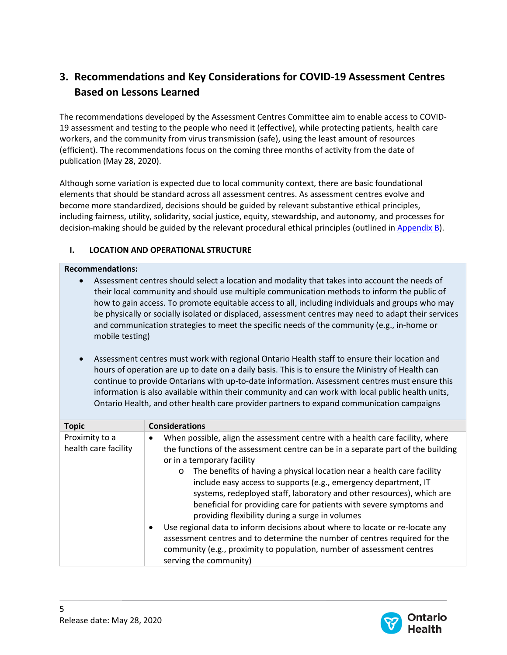# **3. Recommendations and Key Considerations for COVID-19 Assessment Centres Based on Lessons Learned**

The recommendations developed by the Assessment Centres Committee aim to enable access to COVID-19 assessment and testing to the people who need it (effective), while protecting patients, health care workers, and the community from virus transmission (safe), using the least amount of resources (efficient). The recommendations focus on the coming three months of activity from the date of publication (May 28, 2020).

Although some variation is expected due to local community context, there are basic foundational elements that should be standard across all assessment centres. As assessment centres evolve and become more standardized, decisions should be guided by relevant substantive ethical principles, including fairness, utility, solidarity, social justice, equity, stewardship, and autonomy, and processes for decision-making should be guided by the relevant procedural ethical principles (outlined in [Appendix B\)](#page-19-0).

## **I. LOCATION AND OPERATIONAL STRUCTURE**

#### **Recommendations:**

- Assessment centres should select a location and modality that takes into account the needs of their local community and should use multiple communication methods to inform the public of how to gain access. To promote equitable access to all, including individuals and groups who may be physically or socially isolated or displaced, assessment centres may need to adapt their services and communication strategies to meet the specific needs of the community (e.g., in-home or mobile testing)
- Assessment centres must work with regional Ontario Health staff to ensure their location and hours of operation are up to date on a daily basis. This is to ensure the Ministry of Health can continue to provide Ontarians with up-to-date information. Assessment centres must ensure this information is also available within their community and can work with local public health units, Ontario Health, and other health care provider partners to expand communication campaigns

| <b>Topic</b>                           | <b>Considerations</b>                                                                                                                                                                                                                                                                                                                                                                                                                                                                                                                                                                                                                                                                                                                                                                                                        |
|----------------------------------------|------------------------------------------------------------------------------------------------------------------------------------------------------------------------------------------------------------------------------------------------------------------------------------------------------------------------------------------------------------------------------------------------------------------------------------------------------------------------------------------------------------------------------------------------------------------------------------------------------------------------------------------------------------------------------------------------------------------------------------------------------------------------------------------------------------------------------|
| Proximity to a<br>health care facility | When possible, align the assessment centre with a health care facility, where<br>the functions of the assessment centre can be in a separate part of the building<br>or in a temporary facility<br>The benefits of having a physical location near a health care facility<br>$\circ$<br>include easy access to supports (e.g., emergency department, IT<br>systems, redeployed staff, laboratory and other resources), which are<br>beneficial for providing care for patients with severe symptoms and<br>providing flexibility during a surge in volumes<br>Use regional data to inform decisions about where to locate or re-locate any<br>assessment centres and to determine the number of centres required for the<br>community (e.g., proximity to population, number of assessment centres<br>serving the community) |

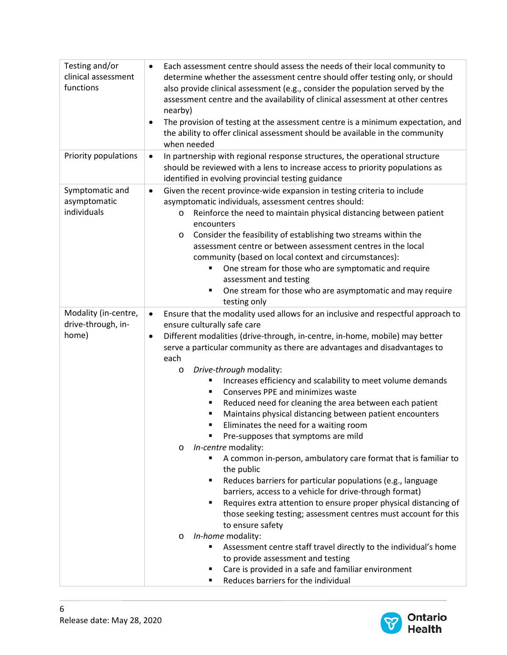| Testing and/or       | Each assessment centre should assess the needs of their local community to<br>$\bullet$       |  |
|----------------------|-----------------------------------------------------------------------------------------------|--|
| clinical assessment  | determine whether the assessment centre should offer testing only, or should                  |  |
| functions            | also provide clinical assessment (e.g., consider the population served by the                 |  |
|                      | assessment centre and the availability of clinical assessment at other centres                |  |
|                      | nearby)                                                                                       |  |
|                      | The provision of testing at the assessment centre is a minimum expectation, and               |  |
|                      | the ability to offer clinical assessment should be available in the community<br>when needed  |  |
| Priority populations | In partnership with regional response structures, the operational structure<br>$\bullet$      |  |
|                      | should be reviewed with a lens to increase access to priority populations as                  |  |
|                      | identified in evolving provincial testing guidance                                            |  |
| Symptomatic and      | Given the recent province-wide expansion in testing criteria to include<br>$\bullet$          |  |
| asymptomatic         | asymptomatic individuals, assessment centres should:                                          |  |
| individuals          | Reinforce the need to maintain physical distancing between patient<br>$\circ$                 |  |
|                      | encounters                                                                                    |  |
|                      | Consider the feasibility of establishing two streams within the<br>$\circ$                    |  |
|                      | assessment centre or between assessment centres in the local                                  |  |
|                      | community (based on local context and circumstances):                                         |  |
|                      | One stream for those who are symptomatic and require<br>٠                                     |  |
|                      | assessment and testing                                                                        |  |
|                      | One stream for those who are asymptomatic and may require<br>$\blacksquare$                   |  |
|                      | testing only                                                                                  |  |
| Modality (in-centre, | Ensure that the modality used allows for an inclusive and respectful approach to<br>$\bullet$ |  |
| drive-through, in-   | ensure culturally safe care                                                                   |  |
| home)                | Different modalities (drive-through, in-centre, in-home, mobile) may better<br>٠              |  |
|                      | serve a particular community as there are advantages and disadvantages to                     |  |
|                      | each                                                                                          |  |
|                      | Drive-through modality:<br>$\circ$                                                            |  |
|                      | Increases efficiency and scalability to meet volume demands                                   |  |
|                      | Conserves PPE and minimizes waste<br>٠                                                        |  |
|                      | Reduced need for cleaning the area between each patient<br>٠                                  |  |
|                      | Maintains physical distancing between patient encounters<br>٠<br>٠                            |  |
|                      | Eliminates the need for a waiting room<br>Pre-supposes that symptoms are mild                 |  |
|                      | In-centre modality:<br>$\circ$                                                                |  |
|                      | A common in-person, ambulatory care format that is familiar to                                |  |
|                      | the public                                                                                    |  |
|                      | Reduces barriers for particular populations (e.g., language<br>٠                              |  |
|                      | barriers, access to a vehicle for drive-through format)                                       |  |
|                      | Requires extra attention to ensure proper physical distancing of<br>٠                         |  |
|                      | those seeking testing; assessment centres must account for this                               |  |
|                      | to ensure safety                                                                              |  |
|                      | In-home modality:<br>$\circ$                                                                  |  |
|                      | Assessment centre staff travel directly to the individual's home                              |  |
|                      | to provide assessment and testing                                                             |  |
|                      | Care is provided in a safe and familiar environment                                           |  |
|                      | Reduces barriers for the individual                                                           |  |

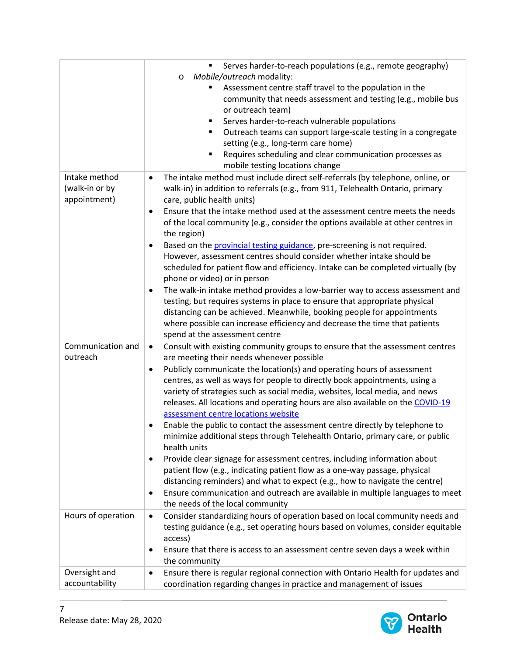|                    | Serves harder-to-reach populations (e.g., remote geography)                                  |
|--------------------|----------------------------------------------------------------------------------------------|
|                    | Mobile/outreach modality:<br>$\circ$                                                         |
|                    | Assessment centre staff travel to the population in the                                      |
|                    | community that needs assessment and testing (e.g., mobile bus                                |
|                    | or outreach team)                                                                            |
|                    | Serves harder-to-reach vulnerable populations<br>٠                                           |
|                    | Outreach teams can support large-scale testing in a congregate<br>٠                          |
|                    | setting (e.g., long-term care home)                                                          |
|                    | Requires scheduling and clear communication processes as                                     |
|                    | mobile testing locations change                                                              |
| Intake method      | The intake method must include direct self-referrals (by telephone, online, or<br>$\bullet$  |
| (walk-in or by     |                                                                                              |
|                    | walk-in) in addition to referrals (e.g., from 911, Telehealth Ontario, primary               |
| appointment)       | care, public health units)                                                                   |
|                    | Ensure that the intake method used at the assessment centre meets the needs<br>$\bullet$     |
|                    | of the local community (e.g., consider the options available at other centres in             |
|                    | the region)                                                                                  |
|                    | Based on the provincial testing guidance, pre-screening is not required.<br>$\bullet$        |
|                    | However, assessment centres should consider whether intake should be                         |
|                    | scheduled for patient flow and efficiency. Intake can be completed virtually (by             |
|                    | phone or video) or in person                                                                 |
|                    | The walk-in intake method provides a low-barrier way to access assessment and                |
|                    | testing, but requires systems in place to ensure that appropriate physical                   |
|                    | distancing can be achieved. Meanwhile, booking people for appointments                       |
|                    | where possible can increase efficiency and decrease the time that patients                   |
|                    | spend at the assessment centre                                                               |
| Communication and  | Consult with existing community groups to ensure that the assessment centres<br>$\bullet$    |
| outreach           | are meeting their needs whenever possible                                                    |
|                    | Publicly communicate the location(s) and operating hours of assessment<br>$\bullet$          |
|                    | centres, as well as ways for people to directly book appointments, using a                   |
|                    | variety of strategies such as social media, websites, local media, and news                  |
|                    | releases. All locations and operating hours are also available on the COVID-19               |
|                    | assessment centre locations website                                                          |
|                    | Enable the public to contact the assessment centre directly by telephone to<br>٠             |
|                    | minimize additional steps through Telehealth Ontario, primary care, or public                |
|                    | health units                                                                                 |
|                    | Provide clear signage for assessment centres, including information about<br>٠               |
|                    | patient flow (e.g., indicating patient flow as a one-way passage, physical                   |
|                    | distancing reminders) and what to expect (e.g., how to navigate the centre)                  |
|                    | Ensure communication and outreach are available in multiple languages to meet<br>٠           |
|                    | the needs of the local community                                                             |
|                    |                                                                                              |
| Hours of operation | Consider standardizing hours of operation based on local community needs and<br>$\bullet$    |
|                    | testing guidance (e.g., set operating hours based on volumes, consider equitable             |
|                    | access)                                                                                      |
|                    | Ensure that there is access to an assessment centre seven days a week within<br>$\bullet$    |
|                    | the community                                                                                |
| Oversight and      | Ensure there is regular regional connection with Ontario Health for updates and<br>$\bullet$ |
| accountability     | coordination regarding changes in practice and management of issues                          |

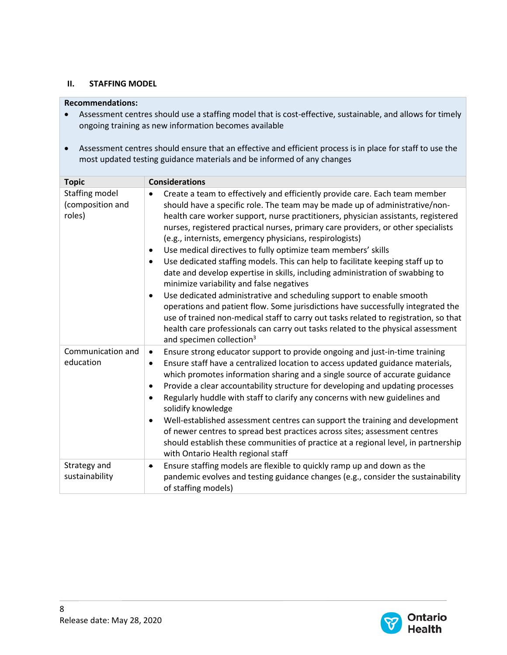#### **II. STAFFING MODEL**

#### **Recommendations:**

- Assessment centres should use a staffing model that is cost-effective, sustainable, and allows for timely ongoing training as new information becomes available
- Assessment centres should ensure that an effective and efficient process is in place for staff to use the most updated testing guidance materials and be informed of any changes

| <b>Topic</b>                                 | <b>Considerations</b>                                                                                                                                                                                                                                                                                                                                                                                                                                                                                                                                                                                                                                                                                                                                                                                                                                                                                                                                                                                                                                                         |
|----------------------------------------------|-------------------------------------------------------------------------------------------------------------------------------------------------------------------------------------------------------------------------------------------------------------------------------------------------------------------------------------------------------------------------------------------------------------------------------------------------------------------------------------------------------------------------------------------------------------------------------------------------------------------------------------------------------------------------------------------------------------------------------------------------------------------------------------------------------------------------------------------------------------------------------------------------------------------------------------------------------------------------------------------------------------------------------------------------------------------------------|
| Staffing model<br>(composition and<br>roles) | Create a team to effectively and efficiently provide care. Each team member<br>$\bullet$<br>should have a specific role. The team may be made up of administrative/non-<br>health care worker support, nurse practitioners, physician assistants, registered<br>nurses, registered practical nurses, primary care providers, or other specialists<br>(e.g., internists, emergency physicians, respirologists)<br>Use medical directives to fully optimize team members' skills<br>Use dedicated staffing models. This can help to facilitate keeping staff up to<br>date and develop expertise in skills, including administration of swabbing to<br>minimize variability and false negatives<br>Use dedicated administrative and scheduling support to enable smooth<br>operations and patient flow. Some jurisdictions have successfully integrated the<br>use of trained non-medical staff to carry out tasks related to registration, so that<br>health care professionals can carry out tasks related to the physical assessment<br>and specimen collection <sup>3</sup> |
| Communication and<br>education               | Ensure strong educator support to provide ongoing and just-in-time training<br>$\bullet$<br>Ensure staff have a centralized location to access updated guidance materials,<br>$\bullet$<br>which promotes information sharing and a single source of accurate guidance<br>Provide a clear accountability structure for developing and updating processes<br>Regularly huddle with staff to clarify any concerns with new guidelines and<br>$\bullet$<br>solidify knowledge<br>Well-established assessment centres can support the training and development<br>of newer centres to spread best practices across sites; assessment centres<br>should establish these communities of practice at a regional level, in partnership<br>with Ontario Health regional staff                                                                                                                                                                                                                                                                                                          |
| Strategy and<br>sustainability               | Ensure staffing models are flexible to quickly ramp up and down as the<br>٠<br>pandemic evolves and testing guidance changes (e.g., consider the sustainability<br>of staffing models)                                                                                                                                                                                                                                                                                                                                                                                                                                                                                                                                                                                                                                                                                                                                                                                                                                                                                        |

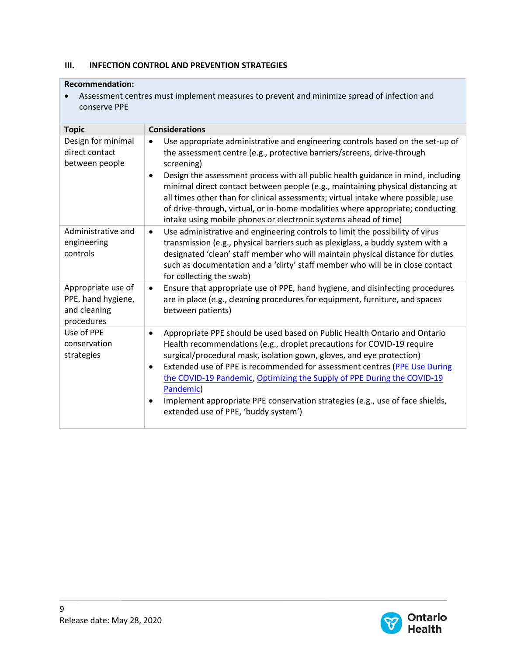## **III. INFECTION CONTROL AND PREVENTION STRATEGIES**

#### **Recommendation:**

• Assessment centres must implement measures to prevent and minimize spread of infection and conserve PPE

| <b>Topic</b>                                                           | <b>Considerations</b>                                                                                                                                                                                                                                                                                                                                                                                                                                                                                                                                                                    |
|------------------------------------------------------------------------|------------------------------------------------------------------------------------------------------------------------------------------------------------------------------------------------------------------------------------------------------------------------------------------------------------------------------------------------------------------------------------------------------------------------------------------------------------------------------------------------------------------------------------------------------------------------------------------|
| Design for minimal<br>direct contact<br>between people                 | Use appropriate administrative and engineering controls based on the set-up of<br>the assessment centre (e.g., protective barriers/screens, drive-through<br>screening)<br>Design the assessment process with all public health guidance in mind, including<br>minimal direct contact between people (e.g., maintaining physical distancing at<br>all times other than for clinical assessments; virtual intake where possible; use<br>of drive-through, virtual, or in-home modalities where appropriate; conducting<br>intake using mobile phones or electronic systems ahead of time) |
| Administrative and<br>engineering<br>controls                          | Use administrative and engineering controls to limit the possibility of virus<br>$\bullet$<br>transmission (e.g., physical barriers such as plexiglass, a buddy system with a<br>designated 'clean' staff member who will maintain physical distance for duties<br>such as documentation and a 'dirty' staff member who will be in close contact<br>for collecting the swab)                                                                                                                                                                                                             |
| Appropriate use of<br>PPE, hand hygiene,<br>and cleaning<br>procedures | Ensure that appropriate use of PPE, hand hygiene, and disinfecting procedures<br>$\bullet$<br>are in place (e.g., cleaning procedures for equipment, furniture, and spaces<br>between patients)                                                                                                                                                                                                                                                                                                                                                                                          |
| Use of PPE<br>conservation<br>strategies                               | Appropriate PPE should be used based on Public Health Ontario and Ontario<br>$\bullet$<br>Health recommendations (e.g., droplet precautions for COVID-19 require<br>surgical/procedural mask, isolation gown, gloves, and eye protection)<br>Extended use of PPE is recommended for assessment centres (PPE Use During<br>$\bullet$<br>the COVID-19 Pandemic, Optimizing the Supply of PPE During the COVID-19<br>Pandemic)<br>Implement appropriate PPE conservation strategies (e.g., use of face shields,<br>extended use of PPE, 'buddy system')                                     |

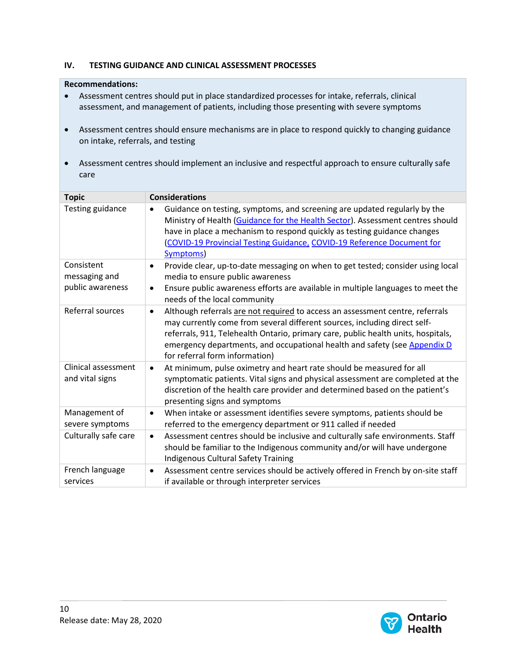## **IV. TESTING GUIDANCE AND CLINICAL ASSESSMENT PROCESSES**

#### **Recommendations:**

- Assessment centres should put in place standardized processes for intake, referrals, clinical assessment, and management of patients, including those presenting with severe symptoms
- Assessment centres should ensure mechanisms are in place to respond quickly to changing guidance on intake, referrals, and testing
- Assessment centres should implement an inclusive and respectful approach to ensure culturally safe care

| <b>Topic</b>                                    | <b>Considerations</b>                                                                                                                                                                                                                                                                                                                                                       |
|-------------------------------------------------|-----------------------------------------------------------------------------------------------------------------------------------------------------------------------------------------------------------------------------------------------------------------------------------------------------------------------------------------------------------------------------|
| Testing guidance                                | Guidance on testing, symptoms, and screening are updated regularly by the<br>$\bullet$<br>Ministry of Health (Guidance for the Health Sector). Assessment centres should<br>have in place a mechanism to respond quickly as testing guidance changes<br>(COVID-19 Provincial Testing Guidance, COVID-19 Reference Document for<br>Symptoms)                                 |
| Consistent<br>messaging and<br>public awareness | Provide clear, up-to-date messaging on when to get tested; consider using local<br>$\bullet$<br>media to ensure public awareness<br>Ensure public awareness efforts are available in multiple languages to meet the<br>$\bullet$<br>needs of the local community                                                                                                            |
| Referral sources                                | Although referrals are not required to access an assessment centre, referrals<br>$\bullet$<br>may currently come from several different sources, including direct self-<br>referrals, 911, Telehealth Ontario, primary care, public health units, hospitals,<br>emergency departments, and occupational health and safety (see Appendix D<br>for referral form information) |
| Clinical assessment<br>and vital signs          | At minimum, pulse oximetry and heart rate should be measured for all<br>$\bullet$<br>symptomatic patients. Vital signs and physical assessment are completed at the<br>discretion of the health care provider and determined based on the patient's<br>presenting signs and symptoms                                                                                        |
| Management of<br>severe symptoms                | When intake or assessment identifies severe symptoms, patients should be<br>٠<br>referred to the emergency department or 911 called if needed                                                                                                                                                                                                                               |
| Culturally safe care                            | Assessment centres should be inclusive and culturally safe environments. Staff<br>$\bullet$<br>should be familiar to the Indigenous community and/or will have undergone<br><b>Indigenous Cultural Safety Training</b>                                                                                                                                                      |
| French language<br>services                     | Assessment centre services should be actively offered in French by on-site staff<br>$\bullet$<br>if available or through interpreter services                                                                                                                                                                                                                               |

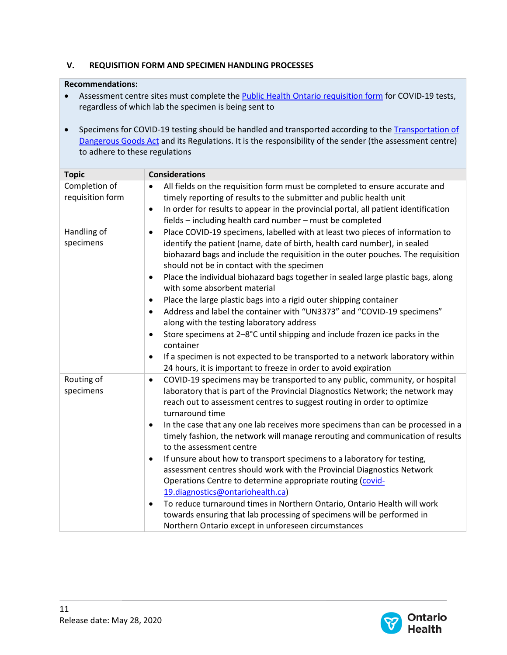# **V. REQUISITION FORM AND SPECIMEN HANDLING PROCESSES**

#### **Recommendations:**

- Assessment centre sites must complete the [Public Health Ontario](https://www.publichealthontario.ca/-/media/documents/lab/2019-ncov-test-requisition.pdf?la=en) requisition form for COVID-19 tests, regardless of which lab the specimen is being sent to
- Specimens for COVID-19 testing should be handled and transported according to the Transportation of [Dangerous Goods Act](https://www.tc.gc.ca/eng/tdg/clear-tofc-211.htm) and its Regulations. It is the responsibility of the sender (the assessment centre) to adhere to these regulations

| <b>Topic</b>                      | <b>Considerations</b>                                                                                                                                                                                                                                                                                                                                                                                                                                                                                                                                                                                                                                                                                                  |
|-----------------------------------|------------------------------------------------------------------------------------------------------------------------------------------------------------------------------------------------------------------------------------------------------------------------------------------------------------------------------------------------------------------------------------------------------------------------------------------------------------------------------------------------------------------------------------------------------------------------------------------------------------------------------------------------------------------------------------------------------------------------|
| Completion of<br>requisition form | All fields on the requisition form must be completed to ensure accurate and<br>timely reporting of results to the submitter and public health unit                                                                                                                                                                                                                                                                                                                                                                                                                                                                                                                                                                     |
|                                   | In order for results to appear in the provincial portal, all patient identification<br>$\bullet$<br>fields - including health card number - must be completed                                                                                                                                                                                                                                                                                                                                                                                                                                                                                                                                                          |
| Handling of<br>specimens          | Place COVID-19 specimens, labelled with at least two pieces of information to<br>$\bullet$<br>identify the patient (name, date of birth, health card number), in sealed<br>biohazard bags and include the requisition in the outer pouches. The requisition<br>should not be in contact with the specimen<br>Place the individual biohazard bags together in sealed large plastic bags, along<br>with some absorbent material<br>Place the large plastic bags into a rigid outer shipping container<br>Address and label the container with "UN3373" and "COVID-19 specimens"<br>along with the testing laboratory address<br>Store specimens at 2-8°C until shipping and include frozen ice packs in the<br>container |
|                                   | If a specimen is not expected to be transported to a network laboratory within<br>24 hours, it is important to freeze in order to avoid expiration                                                                                                                                                                                                                                                                                                                                                                                                                                                                                                                                                                     |
| Routing of<br>specimens           | COVID-19 specimens may be transported to any public, community, or hospital<br>$\bullet$<br>laboratory that is part of the Provincial Diagnostics Network; the network may<br>reach out to assessment centres to suggest routing in order to optimize<br>turnaround time                                                                                                                                                                                                                                                                                                                                                                                                                                               |
|                                   | In the case that any one lab receives more specimens than can be processed in a<br>timely fashion, the network will manage rerouting and communication of results<br>to the assessment centre                                                                                                                                                                                                                                                                                                                                                                                                                                                                                                                          |
|                                   | If unsure about how to transport specimens to a laboratory for testing,<br>٠<br>assessment centres should work with the Provincial Diagnostics Network<br>Operations Centre to determine appropriate routing (covid-<br>19.diagnostics@ontariohealth.ca)                                                                                                                                                                                                                                                                                                                                                                                                                                                               |
|                                   | To reduce turnaround times in Northern Ontario, Ontario Health will work<br>$\bullet$<br>towards ensuring that lab processing of specimens will be performed in<br>Northern Ontario except in unforeseen circumstances                                                                                                                                                                                                                                                                                                                                                                                                                                                                                                 |

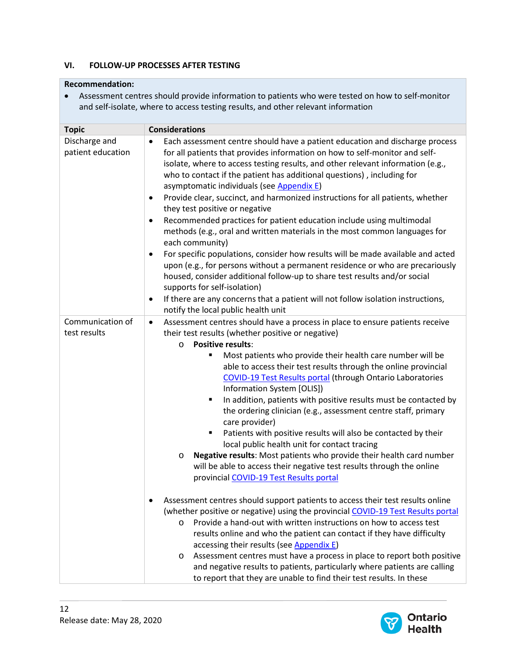## **VI. FOLLOW-UP PROCESSES AFTER TESTING**

#### **Recommendation:**

• Assessment centres should provide information to patients who were tested on how to self-monitor and self-isolate, where to access testing results, and other relevant information

| <b>Topic</b>                       | <b>Considerations</b>                                                                                                                                                                                                                                                                                                                                                                                                                                                                                                                                                                                                                                                                                                                                                                                                                                                                                                                                                                                                                                                                                                                                                                                                                                                                                                                                                                                                                                                                                                                                           |
|------------------------------------|-----------------------------------------------------------------------------------------------------------------------------------------------------------------------------------------------------------------------------------------------------------------------------------------------------------------------------------------------------------------------------------------------------------------------------------------------------------------------------------------------------------------------------------------------------------------------------------------------------------------------------------------------------------------------------------------------------------------------------------------------------------------------------------------------------------------------------------------------------------------------------------------------------------------------------------------------------------------------------------------------------------------------------------------------------------------------------------------------------------------------------------------------------------------------------------------------------------------------------------------------------------------------------------------------------------------------------------------------------------------------------------------------------------------------------------------------------------------------------------------------------------------------------------------------------------------|
| Discharge and<br>patient education | Each assessment centre should have a patient education and discharge process<br>$\bullet$<br>for all patients that provides information on how to self-monitor and self-<br>isolate, where to access testing results, and other relevant information (e.g.,<br>who to contact if the patient has additional questions), including for<br>asymptomatic individuals (see Appendix E)<br>Provide clear, succinct, and harmonized instructions for all patients, whether<br>$\bullet$<br>they test positive or negative<br>Recommended practices for patient education include using multimodal<br>methods (e.g., oral and written materials in the most common languages for<br>each community)<br>For specific populations, consider how results will be made available and acted<br>$\bullet$<br>upon (e.g., for persons without a permanent residence or who are precariously<br>housed, consider additional follow-up to share test results and/or social<br>supports for self-isolation)<br>If there are any concerns that a patient will not follow isolation instructions,<br>$\bullet$<br>notify the local public health unit                                                                                                                                                                                                                                                                                                                                                                                                                              |
| Communication of<br>test results   | Assessment centres should have a process in place to ensure patients receive<br>$\bullet$<br>their test results (whether positive or negative)<br><b>Positive results:</b><br>$\circ$<br>Most patients who provide their health care number will be<br>able to access their test results through the online provincial<br><b>COVID-19 Test Results portal (through Ontario Laboratories</b><br>Information System [OLIS])<br>In addition, patients with positive results must be contacted by<br>$\blacksquare$<br>the ordering clinician (e.g., assessment centre staff, primary<br>care provider)<br>Patients with positive results will also be contacted by their<br>$\blacksquare$<br>local public health unit for contact tracing<br>Negative results: Most patients who provide their health card number<br>O<br>will be able to access their negative test results through the online<br>provincial COVID-19 Test Results portal<br>Assessment centres should support patients to access their test results online<br>(whether positive or negative) using the provincial COVID-19 Test Results portal<br>Provide a hand-out with written instructions on how to access test<br>$\circ$<br>results online and who the patient can contact if they have difficulty<br>accessing their results (see Appendix E)<br>Assessment centres must have a process in place to report both positive<br>$\circ$<br>and negative results to patients, particularly where patients are calling<br>to report that they are unable to find their test results. In these |

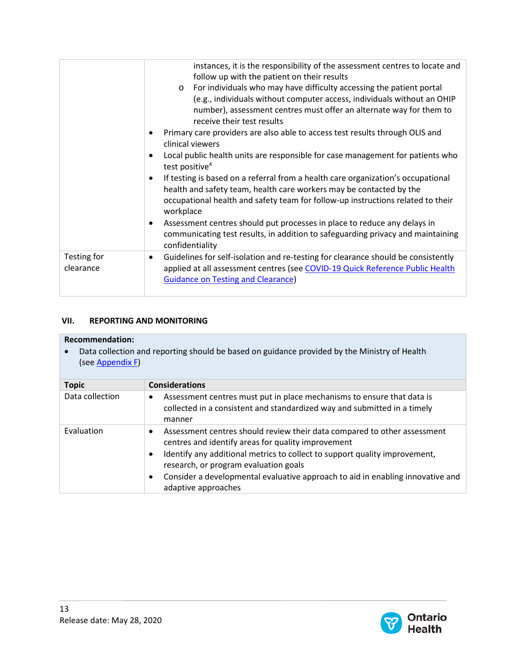|                          | instances, it is the responsibility of the assessment centres to locate and<br>follow up with the patient on their results<br>For individuals who may have difficulty accessing the patient portal<br>$\circ$<br>(e.g., individuals without computer access, individuals without an OHIP<br>number), assessment centres must offer an alternate way for them to<br>receive their test results<br>Primary care providers are also able to access test results through OLIS and |  |
|--------------------------|-------------------------------------------------------------------------------------------------------------------------------------------------------------------------------------------------------------------------------------------------------------------------------------------------------------------------------------------------------------------------------------------------------------------------------------------------------------------------------|--|
|                          | clinical viewers<br>Local public health units are responsible for case management for patients who<br>test positive <sup>4</sup>                                                                                                                                                                                                                                                                                                                                              |  |
|                          | If testing is based on a referral from a health care organization's occupational<br>health and safety team, health care workers may be contacted by the<br>occupational health and safety team for follow-up instructions related to their<br>workplace                                                                                                                                                                                                                       |  |
|                          | Assessment centres should put processes in place to reduce any delays in<br>communicating test results, in addition to safeguarding privacy and maintaining<br>confidentiality                                                                                                                                                                                                                                                                                                |  |
| Testing for<br>clearance | Guidelines for self-isolation and re-testing for clearance should be consistently<br>$\bullet$<br>applied at all assessment centres (see COVID-19 Quick Reference Public Health<br><b>Guidance on Testing and Clearance)</b>                                                                                                                                                                                                                                                  |  |

## **VII. REPORTING AND MONITORING**

#### **Recommendation:**

• Data collection and reporting should be based on guidance provided by the Ministry of Health (se[e Appendix F\)](#page-23-0)

| <b>Topic</b>    | <b>Considerations</b>                                                                                                                                                                                                                                                                                                                                                                 |
|-----------------|---------------------------------------------------------------------------------------------------------------------------------------------------------------------------------------------------------------------------------------------------------------------------------------------------------------------------------------------------------------------------------------|
| Data collection | Assessment centres must put in place mechanisms to ensure that data is<br>collected in a consistent and standardized way and submitted in a timely<br>manner                                                                                                                                                                                                                          |
| Evaluation      | Assessment centres should review their data compared to other assessment<br>٠<br>centres and identify areas for quality improvement<br>Identify any additional metrics to collect to support quality improvement,<br>٠<br>research, or program evaluation goals<br>Consider a developmental evaluative approach to aid in enabling innovative and<br>$\bullet$<br>adaptive approaches |

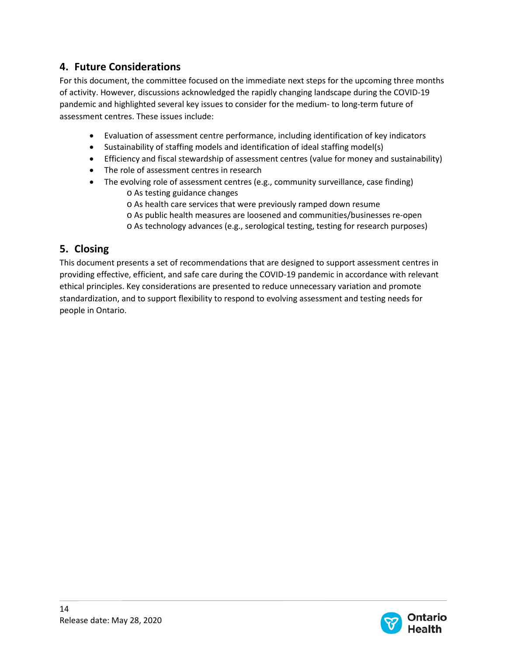# **4. Future Considerations**

For this document, the committee focused on the immediate next steps for the upcoming three months of activity. However, discussions acknowledged the rapidly changing landscape during the COVID-19 pandemic and highlighted several key issues to consider for the medium- to long-term future of assessment centres. These issues include:

- Evaluation of assessment centre performance, including identification of key indicators
- Sustainability of staffing models and identification of ideal staffing model(s)
- Efficiency and fiscal stewardship of assessment centres (value for money and sustainability)
- The role of assessment centres in research
- The evolving role of assessment centres (e.g., community surveillance, case finding) o As testing guidance changes
	- o As health care services that were previously ramped down resume
	- o As public health measures are loosened and communities/businesses re-open
	- o As technology advances (e.g., serological testing, testing for research purposes)

# **5. Closing**

This document presents a set of recommendations that are designed to support assessment centres in providing effective, efficient, and safe care during the COVID-19 pandemic in accordance with relevant ethical principles. Key considerations are presented to reduce unnecessary variation and promote standardization, and to support flexibility to respond to evolving assessment and testing needs for people in Ontario.

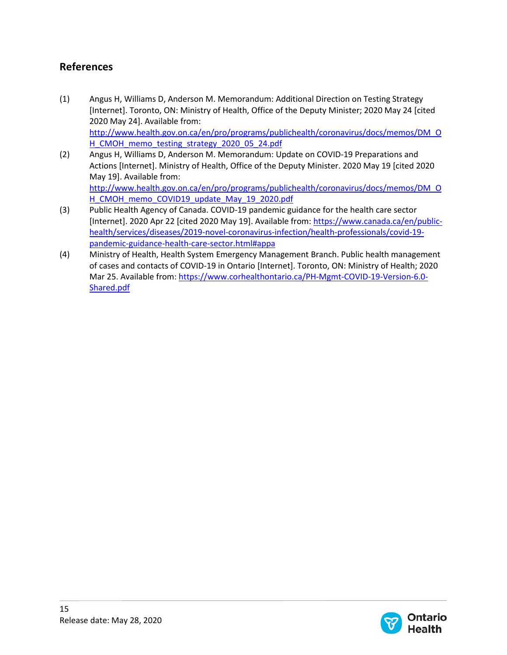# **References**

- (1) Angus H, Williams D, Anderson M. Memorandum: Additional Direction on Testing Strategy [Internet]. Toronto, ON: Ministry of Health, Office of the Deputy Minister; 2020 May 24 [cited 2020 May 24]. Available from: [http://www.health.gov.on.ca/en/pro/programs/publichealth/coronavirus/docs/memos/DM\\_O](http://www.health.gov.on.ca/en/pro/programs/publichealth/coronavirus/docs/memos/DM_OH_CMOH_memo_testing_strategy_2020_05_24.pdf) [H\\_CMOH\\_memo\\_testing\\_strategy\\_2020\\_05\\_24.pdf](http://www.health.gov.on.ca/en/pro/programs/publichealth/coronavirus/docs/memos/DM_OH_CMOH_memo_testing_strategy_2020_05_24.pdf)
- (2) Angus H, Williams D, Anderson M. Memorandum: Update on COVID-19 Preparations and Actions [Internet]. Ministry of Health, Office of the Deputy Minister. 2020 May 19 [cited 2020 May 19]. Available from: [http://www.health.gov.on.ca/en/pro/programs/publichealth/coronavirus/docs/memos/DM\\_O](http://www.health.gov.on.ca/en/pro/programs/publichealth/coronavirus/docs/memos/DM_OH_CMOH_memo_COVID19_update_May_19_2020.pdf) [H\\_CMOH\\_memo\\_COVID19\\_update\\_May\\_19\\_2020.pdf](http://www.health.gov.on.ca/en/pro/programs/publichealth/coronavirus/docs/memos/DM_OH_CMOH_memo_COVID19_update_May_19_2020.pdf)
- (3) Public Health Agency of Canada. COVID-19 pandemic guidance for the health care sector [Internet]. 2020 Apr 22 [cited 2020 May 19]. Available from[: https://www.canada.ca/en/public](https://www.canada.ca/en/public-health/services/diseases/2019-novel-coronavirus-infection/health-professionals/covid-19-pandemic-guidance-health-care-sector.html#appa)[health/services/diseases/2019-novel-coronavirus-infection/health-professionals/covid-19](https://www.canada.ca/en/public-health/services/diseases/2019-novel-coronavirus-infection/health-professionals/covid-19-pandemic-guidance-health-care-sector.html#appa) [pandemic-guidance-health-care-sector.html#appa](https://www.canada.ca/en/public-health/services/diseases/2019-novel-coronavirus-infection/health-professionals/covid-19-pandemic-guidance-health-care-sector.html#appa)
- (4) Ministry of Health, Health System Emergency Management Branch. Public health management of cases and contacts of COVID-19 in Ontario [Internet]. Toronto, ON: Ministry of Health; 2020 Mar 25. Available from: [https://www.corhealthontario.ca/PH-Mgmt-COVID-19-Version-6.0-](https://www.corhealthontario.ca/PH-Mgmt-COVID-19-Version-6.0-Shared.pdf) [Shared.pdf](https://www.corhealthontario.ca/PH-Mgmt-COVID-19-Version-6.0-Shared.pdf)

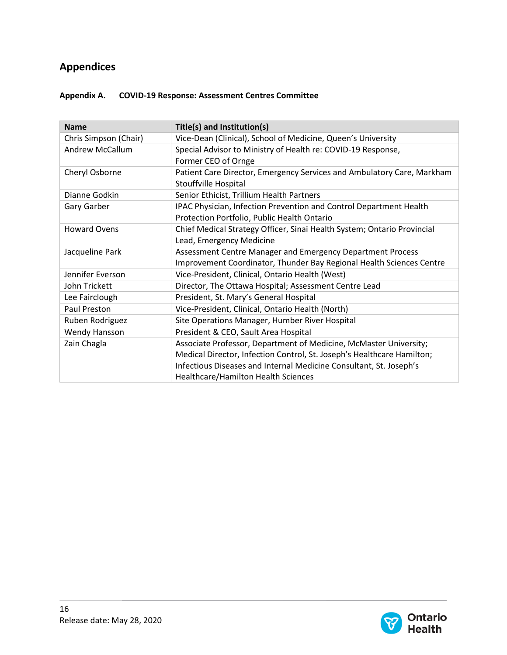# **Appendices**

| Appendix A. | <b>COVID-19 Response: Assessment Centres Committee</b> |
|-------------|--------------------------------------------------------|
|             |                                                        |

| <b>Name</b>            | Title(s) and Institution(s)                                             |
|------------------------|-------------------------------------------------------------------------|
| Chris Simpson (Chair)  | Vice-Dean (Clinical), School of Medicine, Queen's University            |
| <b>Andrew McCallum</b> | Special Advisor to Ministry of Health re: COVID-19 Response,            |
|                        | Former CEO of Ornge                                                     |
| Cheryl Osborne         | Patient Care Director, Emergency Services and Ambulatory Care, Markham  |
|                        | Stouffville Hospital                                                    |
| Dianne Godkin          | Senior Ethicist, Trillium Health Partners                               |
| Gary Garber            | IPAC Physician, Infection Prevention and Control Department Health      |
|                        | Protection Portfolio, Public Health Ontario                             |
| <b>Howard Ovens</b>    | Chief Medical Strategy Officer, Sinai Health System; Ontario Provincial |
|                        | Lead, Emergency Medicine                                                |
| Jacqueline Park        | Assessment Centre Manager and Emergency Department Process              |
|                        | Improvement Coordinator, Thunder Bay Regional Health Sciences Centre    |
| Jennifer Everson       | Vice-President, Clinical, Ontario Health (West)                         |
| John Trickett          | Director, The Ottawa Hospital; Assessment Centre Lead                   |
| Lee Fairclough         | President, St. Mary's General Hospital                                  |
| Paul Preston           | Vice-President, Clinical, Ontario Health (North)                        |
| Ruben Rodriguez        | Site Operations Manager, Humber River Hospital                          |
| Wendy Hansson          | President & CEO, Sault Area Hospital                                    |
| Zain Chagla            | Associate Professor, Department of Medicine, McMaster University;       |
|                        | Medical Director, Infection Control, St. Joseph's Healthcare Hamilton;  |
|                        | Infectious Diseases and Internal Medicine Consultant, St. Joseph's      |
|                        | <b>Healthcare/Hamilton Health Sciences</b>                              |

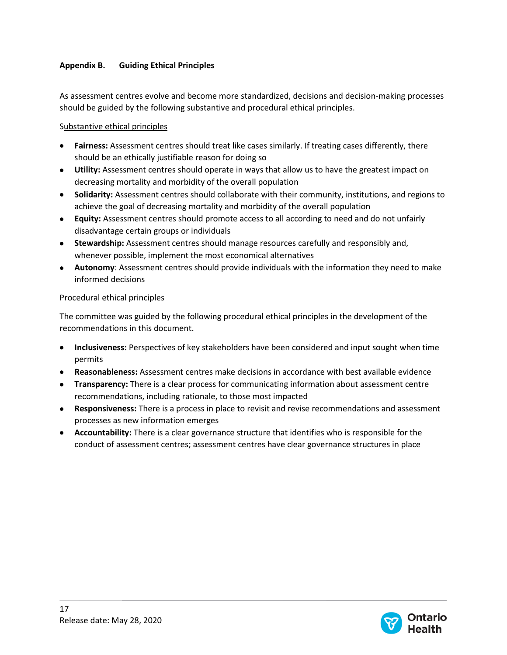# <span id="page-19-0"></span>**Appendix B. Guiding Ethical Principles**

As assessment centres evolve and become more standardized, decisions and decision-making processes should be guided by the following substantive and procedural ethical principles.

# Substantive ethical principles

- **Fairness:** Assessment centres should treat like cases similarly. If treating cases differently, there should be an ethically justifiable reason for doing so
- **Utility:** Assessment centres should operate in ways that allow us to have the greatest impact on decreasing mortality and morbidity of the overall population
- **Solidarity:** Assessment centres should collaborate with their community, institutions, and regions to achieve the goal of decreasing mortality and morbidity of the overall population
- **Equity:** Assessment centres should promote access to all according to need and do not unfairly disadvantage certain groups or individuals
- **Stewardship:** Assessment centres should manage resources carefully and responsibly and, whenever possible, implement the most economical alternatives
- **Autonomy**: Assessment centres should provide individuals with the information they need to make informed decisions

# Procedural ethical principles

The committee was guided by the following procedural ethical principles in the development of the recommendations in this document.

- **Inclusiveness:** Perspectives of key stakeholders have been considered and input sought when time permits
- **Reasonableness:** Assessment centres make decisions in accordance with best available evidence
- **Transparency:** There is a clear process for communicating information about assessment centre recommendations, including rationale, to those most impacted
- **Responsiveness:** There is a process in place to revisit and revise recommendations and assessment processes as new information emerges
- **Accountability:** There is a clear governance structure that identifies who is responsible for the conduct of assessment centres; assessment centres have clear governance structures in place

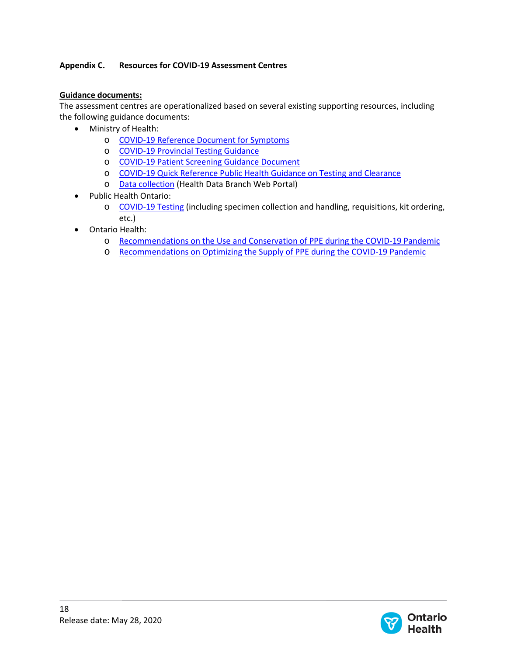# <span id="page-20-0"></span>**Appendix C. Resources for COVID-19 Assessment Centres**

## **Guidance documents:**

The assessment centres are operationalized based on several existing supporting resources, including the following guidance documents:

- Ministry of Health:
	- o [COVID-19 Reference Document for Symptoms](http://www.health.gov.on.ca/en/pro/programs/publichealth/coronavirus/docs/2019_reference_doc_symptoms.pdf)
	- o [COVID-19 Provincial Testing Guidance](http://www.health.gov.on.ca/en/pro/programs/publichealth/coronavirus/docs/2019_covid_testing_guidance.pdf)
	- o [COVID-19 Patient Screening Guidance Document](http://www.health.gov.on.ca/en/pro/programs/publichealth/coronavirus/docs/2019_patient_screening_guidance.pdf)
	- o [COVID-19 Quick Reference Public Health Guidance on Testing and Clearance](http://www.health.gov.on.ca/en/pro/programs/publichealth/coronavirus/docs/2019_testing_clearing_cases_guidance.pdf)
	- o [Data collection](https://hsim.health.gov.on.ca/hdbportal/) (Health Data Branch Web Portal)
- Public Health Ontario:
	- o [COVID-19 Testing](https://www.publichealthontario.ca/en/laboratory-services/test-information-index/wuhan-novel-coronavirus?_ga=2.24529338.1008232326.1589213063-809568511.1573222038) (including specimen collection and handling, requisitions, kit ordering, etc.)
- Ontario Health:
	- o [Recommendations on the Use and Conservation of PPE during the COVID-19 Pandemic](https://www.ontariohealth.ca/sites/ontariohealth/files/2020-05/Ontario%20Health%20Personal%20Protective%20Equipment%20Use%20During%20the%20COVID-19%20Pandemic_rev10May20%20PDF_v2.pdf)
	- o [Recommendations on Optimizing the Supply of PPE during the COVID-19 Pandemic](https://www.ontariohealth.ca/sites/ontariohealth/files/2020-05/Ontario%20Health%20Recommendations%20on%20Optimizing%20Personal%20Protective%20Equipment%20During%20the%20COVID-19%20pandemic_rev10May20%20PDF_v2.pdf)

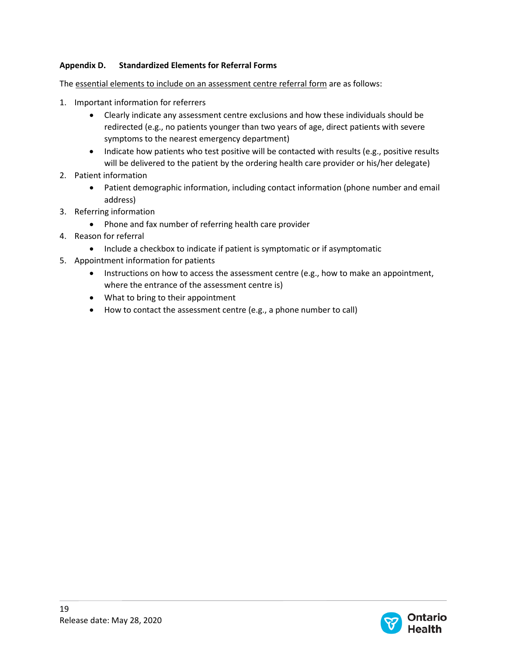# <span id="page-21-0"></span>**Appendix D. Standardized Elements for Referral Forms**

The essential elements to include on an assessment centre referral form are as follows:

- 1. Important information for referrers
	- Clearly indicate any assessment centre exclusions and how these individuals should be redirected (e.g., no patients younger than two years of age, direct patients with severe symptoms to the nearest emergency department)
	- Indicate how patients who test positive will be contacted with results (e.g., positive results will be delivered to the patient by the ordering health care provider or his/her delegate)
- 2. Patient information
	- Patient demographic information, including contact information (phone number and email address)
- 3. Referring information
	- Phone and fax number of referring health care provider
- 4. Reason for referral
	- Include a checkbox to indicate if patient is symptomatic or if asymptomatic
- 5. Appointment information for patients
	- Instructions on how to access the assessment centre (e.g., how to make an appointment, where the entrance of the assessment centre is)
	- What to bring to their appointment
	- How to contact the assessment centre (e.g., a phone number to call)

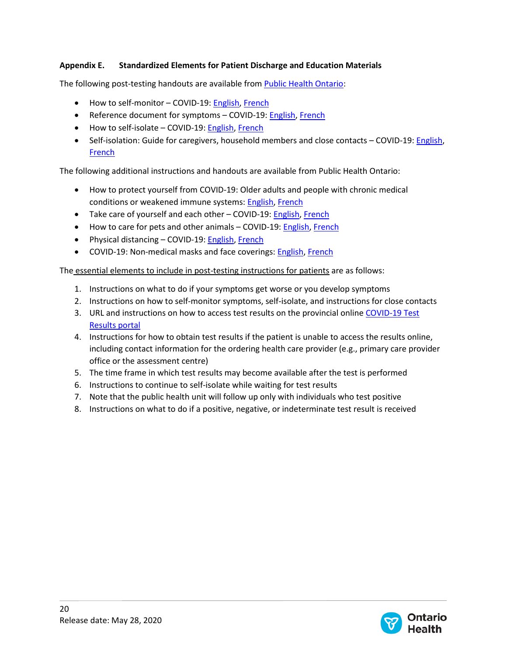# <span id="page-22-0"></span>**Appendix E. Standardized Elements for Patient Discharge and Education Materials**

The following post-testing handouts are available from **Public Health Ontario:** 

- How to self-monitor COVID-19[: English,](https://www.publichealthontario.ca/-/media/documents/ncov/factsheet-covid-19-self-monitor.pdf?la=en) [French](https://www.publichealthontario.ca/-/media/documents/ncov/factsheet-covid-19-self-monitor.pdf?la=fr)
- Reference document for symptoms COVID-19: [English,](http://www.health.gov.on.ca/en/pro/programs/publichealth/coronavirus/docs/2019_reference_doc_symptoms.pdf) [French](http://www.health.gov.on.ca/fr/pro/programs/publichealth/coronavirus/docs/2019_reference_doc_symptoms.pdf)
- How to self-isolate COVID-19: [English,](https://www.publichealthontario.ca/-/media/documents/ncov/factsheet-covid-19-how-to-self-isolate.pdf?la=en) [French](https://www.publichealthontario.ca/-/media/documents/ncov/factsheet-covid-19-how-to-self-isolate.pdf?la=fr)
- Self-isolation: Guide for caregivers, household members and close contacts COVID-19: [English,](https://www.publichealthontario.ca/-/media/documents/ncov/factsheet-covid-19-guide-isolation-caregivers.pdf?la=en) [French](https://www.publichealthontario.ca/-/media/documents/ncov/factsheet-covid-19-guide-isolation-caregivers.pdf?la=fr)

The following additional instructions and handouts are available from Public Health Ontario:

- How to protect yourself from COVID-19: Older adults and people with chronic medical conditions or weakened immune systems[: English,](https://www.publichealthontario.ca/-/media/documents/ncov/factsheet/2020/05/factsheet-covid-19-immunocompromised.pdf?la=en) [French](https://www.publichealthontario.ca/-/media/documents/ncov/factsheet/2020/05/factsheet-covid-19-immunocompromised.pdf?la=fr)
- Take care of yourself and each other COVID-19: [English,](https://www.publichealthontario.ca/-/media/documents/ncov/factsheet/factsheet-covid-19-guide-take-care-yourself-others.pdf?la=en) [French](https://www.publichealthontario.ca/-/media/documents/ncov/factsheet/factsheet-covid-19-guide-take-care-yourself-others.pdf?la=fr)
- How to care for pets and other animals COVID-19: **English, [French](https://www.publichealthontario.ca/-/media/documents/ncov/factsheet/factsheet-covid-19-domestic-animals.pdf?la=fr)**
- Physical distancing COVID-19: [English,](https://www.publichealthontario.ca/-/media/documents/ncov/factsheet/factsheet-covid-19-guide-physical-distancing.pdf?la=en) [French](https://www.publichealthontario.ca/-/media/documents/ncov/factsheet/factsheet-covid-19-guide-physical-distancing.pdf?la=fr)
- COVID-19: Non-medical masks and face coverings: **English, [French](https://www.publichealthontario.ca/-/media/documents/ncov/factsheet/2020/05/factsheet-covid-19-non-medical-masks.pdf?la=fr)**

The essential elements to include in post-testing instructions for patients are as follows:

- 1. Instructions on what to do if your symptoms get worse or you develop symptoms
- 2. Instructions on how to self-monitor symptoms, self-isolate, and instructions for close contacts
- 3. URL and instructions on how to access test results on the provincial online [COVID-19 Test](https://covid-19.ontario.ca/)  [Results portal](https://covid-19.ontario.ca/)
- 4. Instructions for how to obtain test results if the patient is unable to access the results online, including contact information for the ordering health care provider (e.g., primary care provider office or the assessment centre)
- 5. The time frame in which test results may become available after the test is performed
- 6. Instructions to continue to self-isolate while waiting for test results
- 7. Note that the public health unit will follow up only with individuals who test positive
- 8. Instructions on what to do if a positive, negative, or indeterminate test result is received